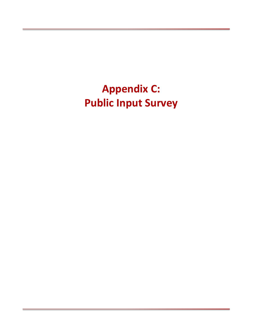**Appendix C: Public Input Survey**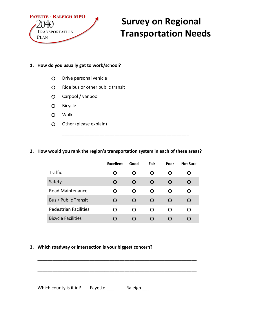

# **TRANSPORTATION Transportation Needs**

### **1. How do you usually get to work/school?**

- O Drive personal vehicle
- Ride bus or other public transit
- Carpool / vanpool
- Bicycle
- Walk
- Other (please explain)

## **2. How would you rank the region's transportation system in each of these areas?**

\_\_\_\_\_\_\_\_\_\_\_\_\_\_\_\_\_\_\_\_\_\_\_\_\_\_\_\_\_\_\_\_\_\_\_\_\_\_\_\_\_\_\_\_\_\_\_\_\_\_\_

|                              | <b>Excellent</b> | Good | Fair | Poor     | <b>Not Sure</b> |
|------------------------------|------------------|------|------|----------|-----------------|
| Traffic                      |                  | O    | O    | O        | O               |
| Safety                       | O                | O    | O    | $\circ$  | O               |
| <b>Road Maintenance</b>      | $\Omega$         | O    | O    | $\Omega$ | O               |
| <b>Bus / Public Transit</b>  | O                | O    | O    | O        | O               |
| <b>Pedestrian Facilities</b> | ∩                | O    | O    | $\Omega$ | O               |
| <b>Bicycle Facilities</b>    |                  | O    | O    | $\Omega$ |                 |

\_\_\_\_\_\_\_\_\_\_\_\_\_\_\_\_\_\_\_\_\_\_\_\_\_\_\_\_\_\_\_\_\_\_\_\_\_\_\_\_\_\_\_\_\_\_\_\_\_\_\_\_\_\_\_\_\_\_\_\_\_\_\_\_

\_\_\_\_\_\_\_\_\_\_\_\_\_\_\_\_\_\_\_\_\_\_\_\_\_\_\_\_\_\_\_\_\_\_\_\_\_\_\_\_\_\_\_\_\_\_\_\_\_\_\_\_\_\_\_\_\_\_\_\_\_\_\_\_

#### **3. Which roadway or intersection is your biggest concern?**

Which county is it in? Fayette \_\_\_ Raleigh \_\_\_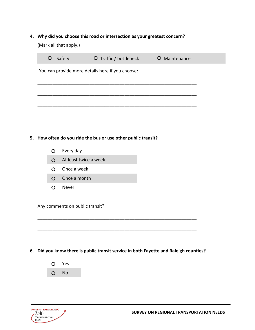**4. Why did you choose this road or intersection as your greatest concern?** (Mark all that apply.)

| Safety<br>$\circ$                                | O Traffic / bottleneck | O Maintenance |  |
|--------------------------------------------------|------------------------|---------------|--|
| You can provide more details here if you choose: |                        |               |  |
|                                                  |                        |               |  |
|                                                  |                        |               |  |
|                                                  |                        |               |  |
|                                                  |                        |               |  |
|                                                  |                        |               |  |

- **5. How often do you ride the bus or use other public transit?**
	- O Every day
	- At least twice a week
	- O Once a week
	- O Once a month
	- Never

Any comments on public transit?

#### **6. Did you know there is public transit service in both Fayette and Raleigh counties?**

\_\_\_\_\_\_\_\_\_\_\_\_\_\_\_\_\_\_\_\_\_\_\_\_\_\_\_\_\_\_\_\_\_\_\_\_\_\_\_\_\_\_\_\_\_\_\_\_\_\_\_\_\_\_\_\_\_\_\_\_\_\_\_\_

\_\_\_\_\_\_\_\_\_\_\_\_\_\_\_\_\_\_\_\_\_\_\_\_\_\_\_\_\_\_\_\_\_\_\_\_\_\_\_\_\_\_\_\_\_\_\_\_\_\_\_\_\_\_\_\_\_\_\_\_\_\_\_\_



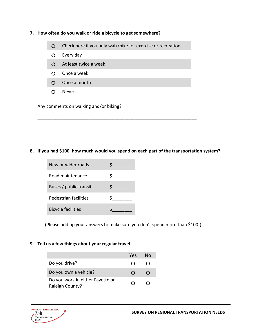#### **7. How often do you walk or ride a bicycle to get somewhere?**

- O Check here if you only walk/bike for exercise or recreation.
- O Every day
- At least twice a week
- O Once a week
- Once a month
- Never

Any comments on walking and/or biking?

#### **8. If you had \$100, how much would you spend on each part of the transportation system?**

\_\_\_\_\_\_\_\_\_\_\_\_\_\_\_\_\_\_\_\_\_\_\_\_\_\_\_\_\_\_\_\_\_\_\_\_\_\_\_\_\_\_\_\_\_\_\_\_\_\_\_\_\_\_\_\_\_\_\_\_\_\_\_\_

\_\_\_\_\_\_\_\_\_\_\_\_\_\_\_\_\_\_\_\_\_\_\_\_\_\_\_\_\_\_\_\_\_\_\_\_\_\_\_\_\_\_\_\_\_\_\_\_\_\_\_\_\_\_\_\_\_\_\_\_\_\_\_\_

| New or wider roads        |  |
|---------------------------|--|
| Road maintenance          |  |
| Buses / public transit    |  |
| Pedestrian facilities     |  |
| <b>Bicycle facilities</b> |  |

(Please add up your answers to make sure you don't spend more than \$100!)

#### **9. Tell us a few things about your regular travel.**

|                                                     | Yes | Nο |
|-----------------------------------------------------|-----|----|
| Do you drive?                                       |     |    |
| Do you own a vehicle?                               |     |    |
| Do you work in either Fayette or<br>Raleigh County? |     |    |